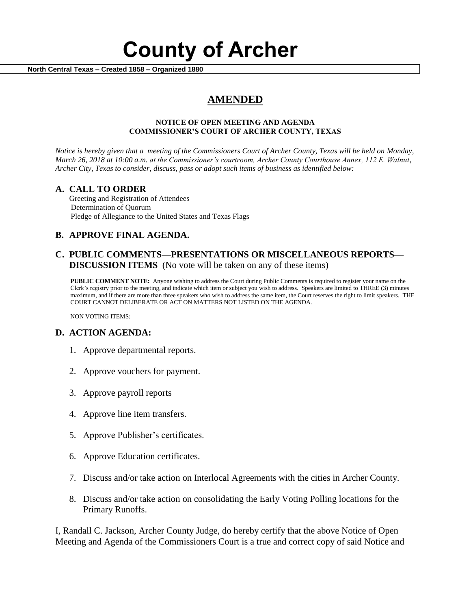# **County of Archer**

 **North Central Texas – Created 1858 – Organized 1880**

## **AMENDED**

#### **NOTICE OF OPEN MEETING AND AGENDA COMMISSIONER'S COURT OF ARCHER COUNTY, TEXAS**

*Notice is hereby given that a meeting of the Commissioners Court of Archer County, Texas will be held on Monday, March 26, 2018 at 10:00 a.m. at the Commissioner's courtroom, Archer County Courthouse Annex, 112 E. Walnut, Archer City, Texas to consider, discuss, pass or adopt such items of business as identified below:*

#### **A. CALL TO ORDER**

 Greeting and Registration of Attendees Determination of Quorum Pledge of Allegiance to the United States and Texas Flags

### **B. APPROVE FINAL AGENDA.**

#### **C. PUBLIC COMMENTS—PRESENTATIONS OR MISCELLANEOUS REPORTS— DISCUSSION ITEMS** (No vote will be taken on any of these items)

**PUBLIC COMMENT NOTE:** Anyone wishing to address the Court during Public Comments is required to register your name on the Clerk's registry prior to the meeting, and indicate which item or subject you wish to address. Speakers are limited to THREE (3) minutes maximum, and if there are more than three speakers who wish to address the same item, the Court reserves the right to limit speakers. THE COURT CANNOT DELIBERATE OR ACT ON MATTERS NOT LISTED ON THE AGENDA.

NON VOTING ITEMS:

#### **D. ACTION AGENDA:**

- 1. Approve departmental reports.
- 2. Approve vouchers for payment.
- 3. Approve payroll reports
- 4. Approve line item transfers.
- 5. Approve Publisher's certificates.
- 6. Approve Education certificates.
- 7. Discuss and/or take action on Interlocal Agreements with the cities in Archer County.
- 8. Discuss and/or take action on consolidating the Early Voting Polling locations for the Primary Runoffs.

I, Randall C. Jackson, Archer County Judge, do hereby certify that the above Notice of Open Meeting and Agenda of the Commissioners Court is a true and correct copy of said Notice and